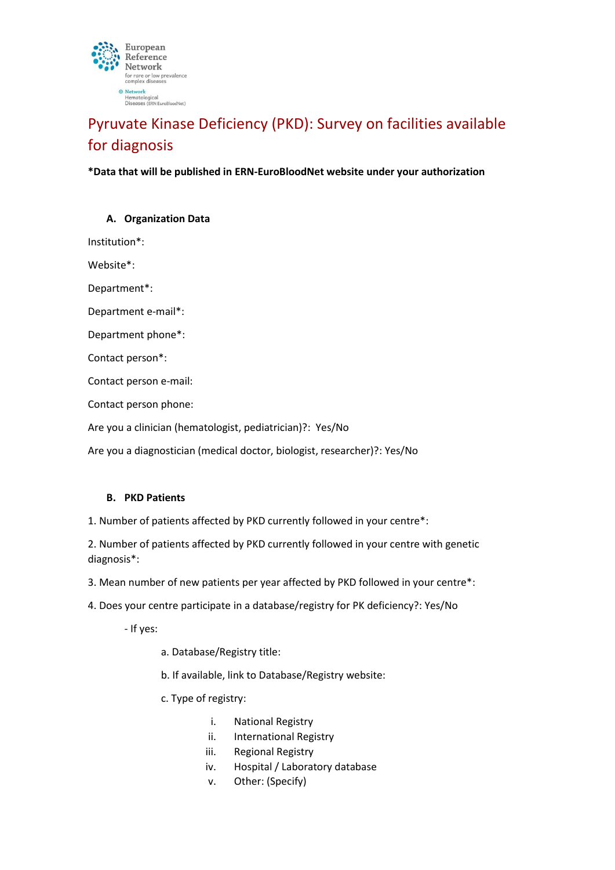

# Pyruvate Kinase Deficiency (PKD): Survey on facilities available for diagnosis

**\*Data that will be published in ERN-EuroBloodNet website under your authorization**

### **A. Organization Data**

Institution\*:

Website\*:

Department\*:

Department e-mail\*:

Department phone\*:

Contact person\*:

Contact person e-mail:

Contact person phone:

Are you a clinician (hematologist, pediatrician)?: Yes/No

Are you a diagnostician (medical doctor, biologist, researcher)?: Yes/No

# **B. PKD Patients**

1. Number of patients affected by PKD currently followed in your centre\*:

2. Number of patients affected by PKD currently followed in your centre with genetic diagnosis\*:

3. Mean number of new patients per year affected by PKD followed in your centre\*:

4. Does your centre participate in a database/registry for PK deficiency?: Yes/No

- If yes:

a. Database/Registry title:

b. If available, link to Database/Registry website:

c. Type of registry:

- i. National Registry
- ii. International Registry
- iii. Regional Registry
- iv. Hospital / Laboratory database
- v. Other: (Specify)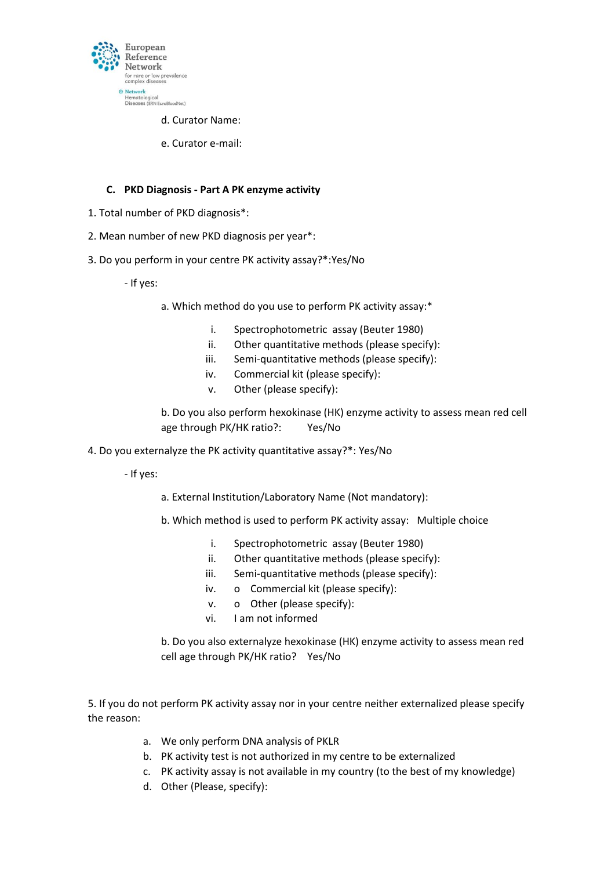

d. Curator Name:

e. Curator e-mail:

### **C. PKD Diagnosis - Part A PK enzyme activity**

- 1. Total number of PKD diagnosis\*:
- 2. Mean number of new PKD diagnosis per year\*:
- 3. Do you perform in your centre PK activity assay?\*:Yes/No

- If yes:

- a. Which method do you use to perform PK activity assay:\*
	- i. Spectrophotometric assay (Beuter 1980)
	- ii. Other quantitative methods (please specify):
	- iii. Semi-quantitative methods (please specify):
	- iv. Commercial kit (please specify):
	- v. Other (please specify):

b. Do you also perform hexokinase (HK) enzyme activity to assess mean red cell age through PK/HK ratio?: Yes/No

4. Do you externalyze the PK activity quantitative assay?\*: Yes/No

- If yes:

- a. External Institution/Laboratory Name (Not mandatory):
- b. Which method is used to perform PK activity assay: Multiple choice
	- i. Spectrophotometric assay (Beuter 1980)
	- ii. Other quantitative methods (please specify):
	- iii. Semi-quantitative methods (please specify):
	- iv. o Commercial kit (please specify):
	- v. o Other (please specify):
	- vi. I am not informed

b. Do you also externalyze hexokinase (HK) enzyme activity to assess mean red cell age through PK/HK ratio? Yes/No

5. If you do not perform PK activity assay nor in your centre neither externalized please specify the reason:

- a. We only perform DNA analysis of PKLR
- b. PK activity test is not authorized in my centre to be externalized
- c. PK activity assay is not available in my country (to the best of my knowledge)
- d. Other (Please, specify):